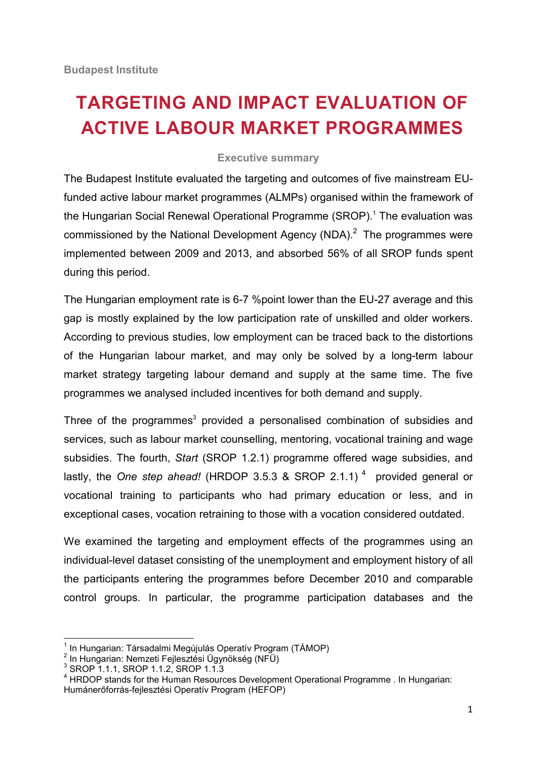## **TARGETING AND IMPACT EVALUATION OF ACTIVE LABOUR MARKET PROGRAMMES**

## **Executive summary**

The Budapest Institute evaluated the targeting and outcomes of five mainstream EUfunded active labour market programmes (ALMPs) organised within the framework of the Hungarian Social Renewal Operational Programme (SROP).<sup>1</sup> The evaluation was commissioned by the National Development Agency (NDA).<sup>2</sup> The programmes were implemented between 2009 and 2013, and absorbed 56% of all SROP funds spent during this period.

The Hungarian employment rate is 6-7 %point lower than the EU-27 average and this gap is mostly explained by the low participation rate of unskilled and older workers. According to previous studies, low employment can be traced back to the distortions of the Hungarian labour market, and may only be solved by a long-term labour market strategy targeting labour demand and supply at the same time. The five programmes we analysed included incentives for both demand and supply.

Three of the programmes<sup>3</sup> provided a personalised combination of subsidies and services, such as labour market counselling, mentoring, vocational training and wage subsidies. The fourth, *Start* (SROP 1.2.1) programme offered wage subsidies, and lastly, the *One step ahead!* (HRDOP 3.5.3 & SROP 2.1.1)<sup>4</sup> provided general or vocational training to participants who had primary education or less, and in exceptional cases, vocation retraining to those with a vocation considered outdated.

We examined the targeting and employment effects of the programmes using an individual-level dataset consisting of the unemployment and employment history of all the participants entering the programmes before December 2010 and comparable control groups. In particular, the programme participation databases and the

<sup>1</sup> In Hungarian: Társadalmi Megújulás Operatív Program (TÁMOP)

<sup>2</sup> In Hungarian: Nemzeti Fejlesztési Ügynökség (NFÜ)

<sup>3</sup> SROP 1.1.1, SROP 1.1.2, SROP 1.1.3

<sup>&</sup>lt;sup>4</sup> HRDOP stands for the Human Resources Development Operational Programme . In Hungarian: Humánerőforrás-fejlesztési Operatív Program (HEFOP)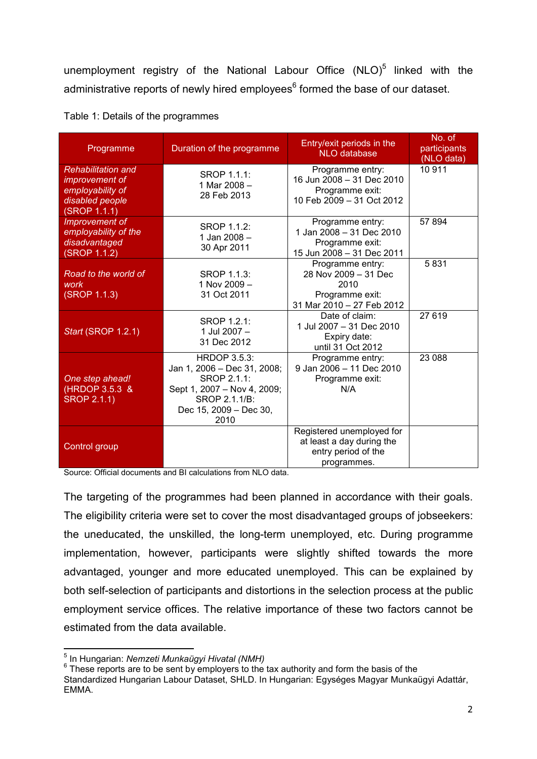unemployment registry of the National Labour Office (NLO)<sup>5</sup> linked with the administrative reports of newly hired employees<sup>6</sup> formed the base of our dataset.

| Programme                                                                                          | Duration of the programme                                                                                                                           | Entry/exit periods in the<br><b>NLO</b> database                                                 | No. of<br>participants<br>(NLO data) |
|----------------------------------------------------------------------------------------------------|-----------------------------------------------------------------------------------------------------------------------------------------------------|--------------------------------------------------------------------------------------------------|--------------------------------------|
| <b>Rehabilitation and</b><br>improvement of<br>employability of<br>disabled people<br>(SROP 1.1.1) | <b>SROP 1.1.1:</b><br>1 Mar 2008 -<br>28 Feb 2013                                                                                                   | Programme entry:<br>16 Jun 2008 - 31 Dec 2010<br>Programme exit:<br>10 Feb 2009 - 31 Oct 2012    | 10911                                |
| Improvement of<br>employability of the<br>disadvantaged<br>(SROP 1.1.2)                            | SROP 1.1.2:<br>1 Jan 2008 -<br>30 Apr 2011                                                                                                          | Programme entry:<br>1 Jan 2008 - 31 Dec 2010<br>Programme exit:<br>15 Jun 2008 - 31 Dec 2011     | 57894                                |
| Road to the world of<br>work<br>(SROP 1.1.3)                                                       | <b>SROP 1.1.3:</b><br>1 Nov 2009 -<br>31 Oct 2011                                                                                                   | Programme entry:<br>28 Nov 2009 - 31 Dec<br>2010<br>Programme exit:<br>31 Mar 2010 - 27 Feb 2012 | 5831                                 |
| Start (SROP 1.2.1)                                                                                 | SROP 1.2.1:<br>1 Jul 2007 -<br>31 Dec 2012                                                                                                          | Date of claim:<br>1 Jul 2007 - 31 Dec 2010<br>Expiry date:<br>until 31 Oct 2012                  | 27619                                |
| One step ahead!<br>(HRDOP 3.5.3 &<br><b>SROP 2.1.1)</b>                                            | <b>HRDOP 3.5.3:</b><br>Jan 1, 2006 - Dec 31, 2008;<br>SROP 2.1.1:<br>Sept 1, 2007 - Nov 4, 2009;<br>SROP 2.1.1/B:<br>Dec 15, 2009 - Dec 30,<br>2010 | Programme entry:<br>9 Jan 2006 - 11 Dec 2010<br>Programme exit:<br>N/A                           | 23 088                               |
| Control group                                                                                      |                                                                                                                                                     | Registered unemployed for<br>at least a day during the<br>entry period of the<br>programmes.     |                                      |

Table 1: Details of the programmes

Source: Official documents and BI calculations from NLO data.

The targeting of the programmes had been planned in accordance with their goals. The eligibility criteria were set to cover the most disadvantaged groups of jobseekers: the uneducated, the unskilled, the long-term unemployed, etc. During programme implementation, however, participants were slightly shifted towards the more advantaged, younger and more educated unemployed. This can be explained by both self-selection of participants and distortions in the selection process at the public employment service offices. The relative importance of these two factors cannot be estimated from the data available.

<sup>5</sup> In Hungarian: *Nemzeti Munkaügyi Hivatal (NMH)*

 $6$  These reports are to be sent by employers to the tax authority and form the basis of the Standardized Hungarian Labour Dataset, SHLD. In Hungarian: Egységes Magyar Munkaügyi Adattár, EMMA.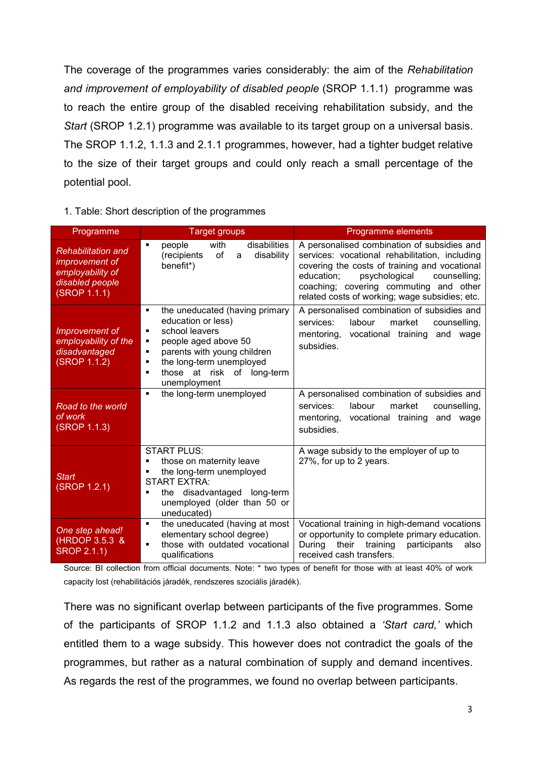The coverage of the programmes varies considerably: the aim of the *Rehabilitation and improvement of employability of disabled people* (SROP 1.1.1) programme was to reach the entire group of the disabled receiving rehabilitation subsidy, and the *Start* (SROP 1.2.1) programme was available to its target group on a universal basis. The SROP 1.1.2, 1.1.3 and 2.1.1 programmes, however, had a tighter budget relative to the size of their target groups and could only reach a small percentage of the potential pool.

## 1. Table: Short description of the programmes

| Programme                                                                                          | <b>Target groups</b>                                                                                                                                                                                                                               | Programme elements                                                                                                                                                                                                                                                                        |  |  |  |
|----------------------------------------------------------------------------------------------------|----------------------------------------------------------------------------------------------------------------------------------------------------------------------------------------------------------------------------------------------------|-------------------------------------------------------------------------------------------------------------------------------------------------------------------------------------------------------------------------------------------------------------------------------------------|--|--|--|
| <b>Rehabilitation and</b><br>improvement of<br>employability of<br>disabled people<br>(SROP 1.1.1) | with<br>disabilities<br>people<br>٠<br>(recipients<br>of<br>disability<br>a<br>benefit*)                                                                                                                                                           | A personalised combination of subsidies and<br>services: vocational rehabilitation, including<br>covering the costs of training and vocational<br>psychological<br>education;<br>counselling;<br>coaching; covering commuting and other<br>related costs of working; wage subsidies; etc. |  |  |  |
| Improvement of<br>employability of the<br>disadvantaged<br>(SROP 1.1.2)                            | the uneducated (having primary<br>٠<br>education or less)<br>school leavers<br>٠<br>people aged above 50<br>٠<br>parents with young children<br>٠<br>the long-term unemployed<br>٠<br>those at risk of long-term<br>$\blacksquare$<br>unemployment | A personalised combination of subsidies and<br>labour<br>market<br>services:<br>counselling.<br>vocational training<br>mentoring,<br>and<br>wage<br>subsidies.                                                                                                                            |  |  |  |
| Road to the world<br>of work<br>(SROP 1.1.3)                                                       | the long-term unemployed<br>$\blacksquare$                                                                                                                                                                                                         | A personalised combination of subsidies and<br>services:<br>labour<br>market<br>counselling,<br>vocational training<br>and wage<br>mentoring,<br>subsidies.                                                                                                                               |  |  |  |
| <b>Start</b><br>(SROP 1.2.1)                                                                       | <b>START PLUS:</b><br>those on maternity leave<br>٠<br>the long-term unemployed<br>٠<br><b>START EXTRA:</b><br>the disadvantaged long-term<br>٠<br>unemployed (older than 50 or<br>uneducated)                                                     | A wage subsidy to the employer of up to<br>27%, for up to 2 years.                                                                                                                                                                                                                        |  |  |  |
| One step ahead!<br>(HRDOP 3.5.3 &<br><b>SROP 2.1.1)</b>                                            | the uneducated (having at most<br>٠<br>elementary school degree)<br>those with outdated vocational<br>$\blacksquare$<br>qualifications                                                                                                             | Vocational training in high-demand vocations<br>or opportunity to complete primary education.<br>During<br>their<br>training<br>participants<br>also<br>received cash transfers.                                                                                                          |  |  |  |

Source: BI collection from official documents. Note: \* two types of benefit for those with at least 40% of work capacity lost (rehabilitációs járadék, rendszeres szociális járadék).

There was no significant overlap between participants of the five programmes. Some of the participants of SROP 1.1.2 and 1.1.3 also obtained a *'Start card,'* which entitled them to a wage subsidy. This however does not contradict the goals of the programmes, but rather as a natural combination of supply and demand incentives. As regards the rest of the programmes, we found no overlap between participants.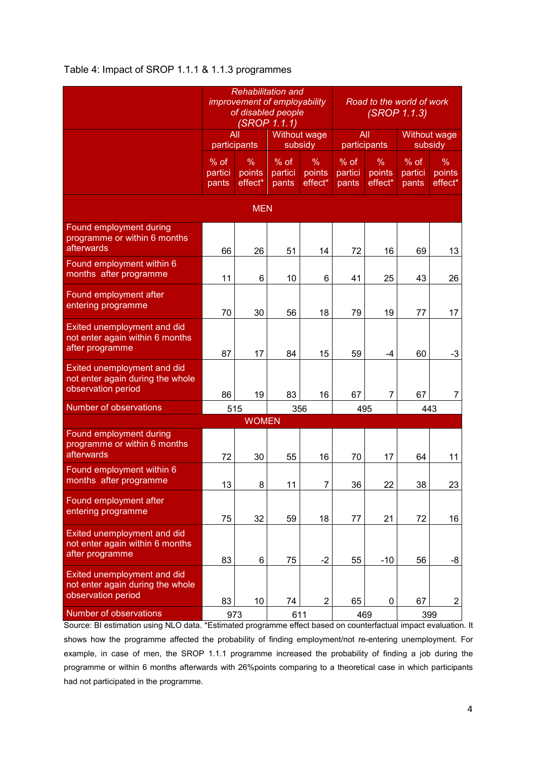## Table 4: Impact of SROP 1.1.1 & 1.1.3 programmes

|                                                                                       | <b>Rehabilitation and</b><br><i>improvement of employability</i><br>of disabled people<br><b>(SROP 1.1.1)</b> |                        |                          |                        | Road to the world of work<br>(SROP 1.1.3) |                        |                            |                           |  |  |  |  |  |
|---------------------------------------------------------------------------------------|---------------------------------------------------------------------------------------------------------------|------------------------|--------------------------|------------------------|-------------------------------------------|------------------------|----------------------------|---------------------------|--|--|--|--|--|
|                                                                                       | All<br>participants                                                                                           |                        | Without wage<br>subsidy  |                        | All<br>participants                       |                        | Without wage<br>subsidy    |                           |  |  |  |  |  |
|                                                                                       | $%$ of<br>partici<br>pants                                                                                    | %<br>points<br>effect* | % of<br>partici<br>pants | %<br>points<br>effect* | $%$ of<br>partici<br>pants                | %<br>points<br>effect* | $%$ of<br>partici<br>pants | $\%$<br>points<br>effect* |  |  |  |  |  |
| <b>MEN</b>                                                                            |                                                                                                               |                        |                          |                        |                                           |                        |                            |                           |  |  |  |  |  |
| Found employment during<br>programme or within 6 months<br>afterwards                 | 66                                                                                                            | 26                     | 51                       | 14                     | 72                                        | 16                     | 69                         | 13                        |  |  |  |  |  |
| Found employment within 6<br>months after programme                                   | 11                                                                                                            | 6                      | 10                       | 6                      | 41                                        | 25                     | 43                         | 26                        |  |  |  |  |  |
| Found employment after<br>entering programme                                          | 70                                                                                                            | 30                     | 56                       | 18                     | 79                                        | 19                     | 77                         | 17                        |  |  |  |  |  |
| Exited unemployment and did<br>not enter again within 6 months<br>after programme     | 87                                                                                                            | 17                     | 84                       | 15                     | 59                                        | -4                     | 60                         | -3                        |  |  |  |  |  |
| Exited unemployment and did<br>not enter again during the whole<br>observation period | 86                                                                                                            | 19                     | 83                       | 16                     | 67                                        | 7                      | 67                         | $\overline{7}$            |  |  |  |  |  |
| <b>Number of observations</b>                                                         | 515                                                                                                           |                        | 356                      |                        | 495                                       |                        | 443                        |                           |  |  |  |  |  |
|                                                                                       |                                                                                                               | <b>WOMEN</b>           |                          |                        |                                           |                        |                            |                           |  |  |  |  |  |
| Found employment during<br>programme or within 6 months<br>afterwards                 | 72                                                                                                            | 30                     | 55                       | 16                     | 70                                        | 17                     | 64                         | 11                        |  |  |  |  |  |
| Found employment within 6<br>months after programme                                   | 13                                                                                                            | 8                      | 11                       | $\overline{7}$         | 36                                        | 22                     | 38                         | 23                        |  |  |  |  |  |
| Found employment after<br>entering programme                                          | 75                                                                                                            | 32                     | 59                       | 18                     | 77                                        | 21                     | 72                         | 16                        |  |  |  |  |  |
| Exited unemployment and did<br>not enter again within 6 months<br>after programme     | 83                                                                                                            | 6                      | 75                       | $-2$                   | 55                                        | $-10$                  | 56                         | -8                        |  |  |  |  |  |
| Exited unemployment and did<br>not enter again during the whole<br>observation period | 83                                                                                                            | 10                     | 74                       | $\overline{2}$         | 65                                        | 0                      | 67                         | $\overline{2}$            |  |  |  |  |  |
| Number of observations                                                                | 973                                                                                                           |                        | 611                      |                        | 469                                       |                        | 399                        |                           |  |  |  |  |  |

Source: BI estimation using NLO data. \*Estimated programme effect based on counterfactual impact evaluation. It shows how the programme affected the probability of finding employment/not re-entering unemployment. For example, in case of men, the SROP 1.1.1 programme increased the probability of finding a job during the programme or within 6 months afterwards with 26%points comparing to a theoretical case in which participants had not participated in the programme.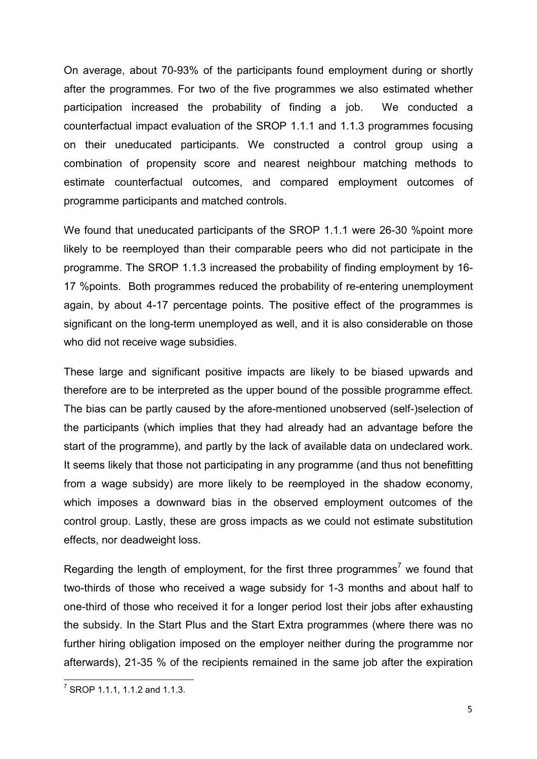On average, about 70-93% of the participants found employment during or shortly after the programmes. For two of the five programmes we also estimated whether participation increased the probability of finding a job. We conducted a counterfactual impact evaluation of the SROP 1.1.1 and 1.1.3 programmes focusing on their uneducated participants. We constructed a control group using a combination of propensity score and nearest neighbour matching methods to estimate counterfactual outcomes, and compared employment outcomes of programme participants and matched controls.

We found that uneducated participants of the SROP 1.1.1 were 26-30 %point more likely to be reemployed than their comparable peers who did not participate in the programme. The SROP 1.1.3 increased the probability of finding employment by 16- 17 %points. Both programmes reduced the probability of re-entering unemployment again, by about 4-17 percentage points. The positive effect of the programmes is significant on the long-term unemployed as well, and it is also considerable on those who did not receive wage subsidies.

These large and significant positive impacts are likely to be biased upwards and therefore are to be interpreted as the upper bound of the possible programme effect. The bias can be partly caused by the afore-mentioned unobserved (self-)selection of the participants (which implies that they had already had an advantage before the start of the programme), and partly by the lack of available data on undeclared work. It seems likely that those not participating in any programme (and thus not benefitting from a wage subsidy) are more likely to be reemployed in the shadow economy, which imposes a downward bias in the observed employment outcomes of the control group. Lastly, these are gross impacts as we could not estimate substitution effects, nor deadweight loss.

Regarding the length of employment, for the first three programmes<sup>7</sup> we found that two-thirds of those who received a wage subsidy for 1-3 months and about half to one-third of those who received it for a longer period lost their jobs after exhausting the subsidy. In the Start Plus and the Start Extra programmes (where there was no further hiring obligation imposed on the employer neither during the programme nor afterwards), 21-35 % of the recipients remained in the same job after the expiration

 $^7$  SROP 1.1.1, 1.1.2 and 1.1.3.